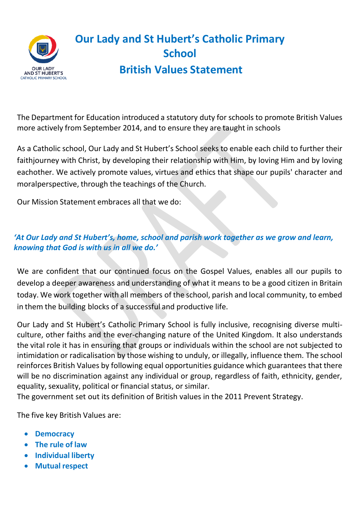

# **Our Lady and St Hubert's Catholic Primary School British Values Statement**

The Department for Education introduced a statutory duty for schools to promote British Values more actively from September 2014, and to ensure they are taught in schools

As a Catholic school, Our Lady and St Hubert's School seeks to enable each child to further their faithjourney with Christ, by developing their relationship with Him, by loving Him and by loving eachother. We actively promote values, virtues and ethics that shape our pupils' character and moralperspective, through the teachings of the Church.

Our Mission Statement embraces all that we do:

## *'At Our Lady and St Hubert's, home, school and parish work together as we grow and learn, knowing that God is with us in all we do.'*

We are confident that our continued focus on the Gospel Values, enables all our pupils to develop a deeper awareness and understanding of what it means to be a good citizen in Britain today. We work together with all members of the school, parish and local community, to embed in them the building blocks of a successful and productive life.

Our Lady and St Hubert's Catholic Primary School is fully inclusive, recognising diverse multiculture, other faiths and the ever-changing nature of the United Kingdom. It also understands the vital role it has in ensuring that groups or individuals within the school are not subjected to intimidation or radicalisation by those wishing to unduly, or illegally, influence them. The school reinforces British Values by following equal opportunities guidance which guarantees that there will be no discrimination against any individual or group, regardless of faith, ethnicity, gender, equality, sexuality, political or financial status, or similar.

The government set out its definition of British values in the 2011 Prevent Strategy.

The five key British Values are:

- **Democracy**
- **The rule of law**
- **Individual liberty**
- **Mutual respect**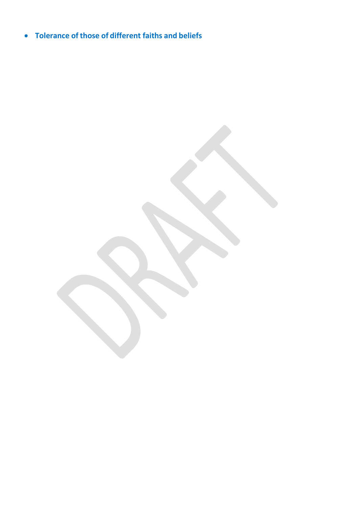• **Tolerance of those of different faiths and beliefs**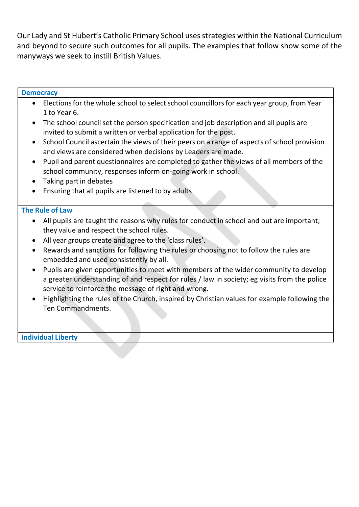Our Lady and St Hubert's Catholic Primary School uses strategies within the National Curriculum and beyond to secure such outcomes for all pupils. The examples that follow show some of the manyways we seek to instill British Values.

#### **Democracy**

- Elections for the whole school to select school councillors for each year group, from Year 1 to Year 6.
- The school council set the person specification and job description and all pupils are invited to submit a written or verbal application for the post.
- School Council ascertain the views of their peers on a range of aspects of school provision and views are considered when decisions by Leaders are made.
- Pupil and parent questionnaires are completed to gather the views of all members of the school community, responses inform on-going work in school.
- Taking part in debates
- Ensuring that all pupils are listened to by adults

#### **The Rule of Law**

- All pupils are taught the reasons why rules for conduct in school and out are important; they value and respect the school rules.
- All year groups create and agree to the 'class rules'.
- Rewards and sanctions for following the rules or choosing not to follow the rules are embedded and used consistently by all.
- Pupils are given opportunities to meet with members of the wider community to develop a greater understanding of and respect for rules / law in society; eg visits from the police service to reinforce the message of right and wrong.
- Highlighting the rules of the Church, inspired by Christian values for example following the Ten Commandments.

**Individual Liberty**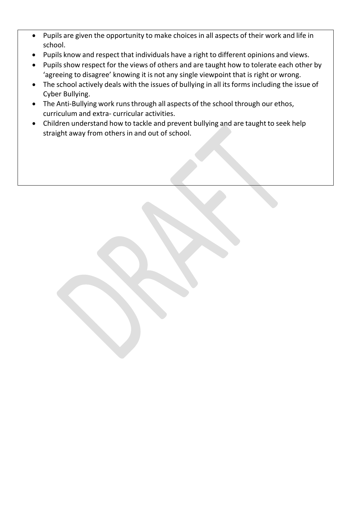- Pupils are given the opportunity to make choices in all aspects of their work and life in school.
- Pupils know and respect that individuals have a right to different opinions and views.
- Pupils show respect for the views of others and are taught how to tolerate each other by 'agreeing to disagree' knowing it is not any single viewpoint that is right or wrong.
- The school actively deals with the issues of bullying in all its forms including the issue of Cyber Bullying.
- The Anti-Bullying work runs through all aspects of the school through our ethos, curriculum and extra- curricular activities.
- Children understand how to tackle and prevent bullying and are taught to seek help straight away from others in and out of school.